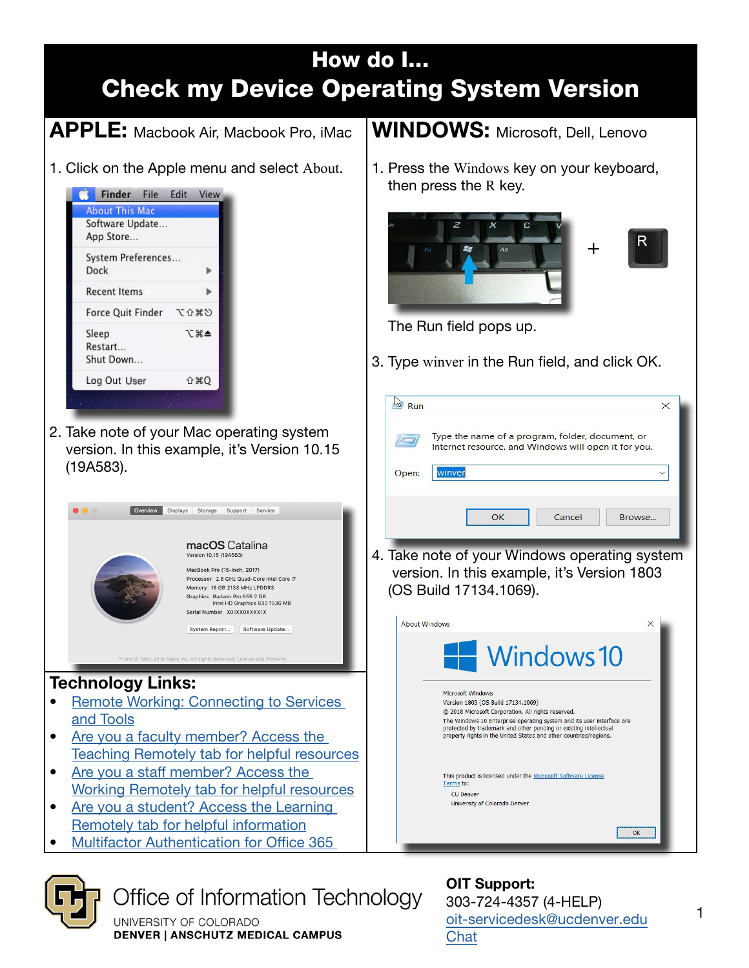



Office of Information Technology

UNIVERSITY OF COLORADO **DENVER | ANSCHUTZ MEDICAL CAMPUS** 

OIT Support: 303-724-4357 (4-HELP) [oit-servicedesk@](mailto:oit-servicedesk%40ucdenver.edu?subject=)ucdenver.edu **[Chat](https://oitsupport.ucdenver.edu)**